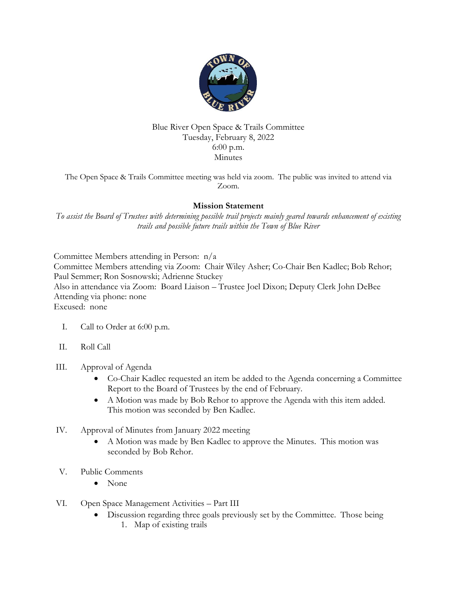

## Blue River Open Space & Trails Committee Tuesday, February 8, 2022 6:00 p.m. Minutes

The Open Space & Trails Committee meeting was held via zoom. The public was invited to attend via Zoom.

## **Mission Statement**

*To assist the Board of Trustees with determining possible trail projects mainly geared towards enhancement of existing trails and possible future trails within the Town of Blue River*

Committee Members attending in Person: n/a

Committee Members attending via Zoom: Chair Wiley Asher; Co-Chair Ben Kadlec; Bob Rehor; Paul Semmer; Ron Sosnowski; Adrienne Stuckey

Also in attendance via Zoom: Board Liaison – Trustee Joel Dixon; Deputy Clerk John DeBee Attending via phone: none

Excused: none

- I. Call to Order at 6:00 p.m.
- II. Roll Call
- III. Approval of Agenda
	- Co-Chair Kadlec requested an item be added to the Agenda concerning a Committee Report to the Board of Trustees by the end of February.
	- A Motion was made by Bob Rehor to approve the Agenda with this item added. This motion was seconded by Ben Kadlec.
- IV. Approval of Minutes from January 2022 meeting
	- A Motion was made by Ben Kadlec to approve the Minutes. This motion was seconded by Bob Rehor.
- V. Public Comments
	- None
- VI. Open Space Management Activities Part III
	- Discussion regarding three goals previously set by the Committee. Those being
		- 1. Map of existing trails